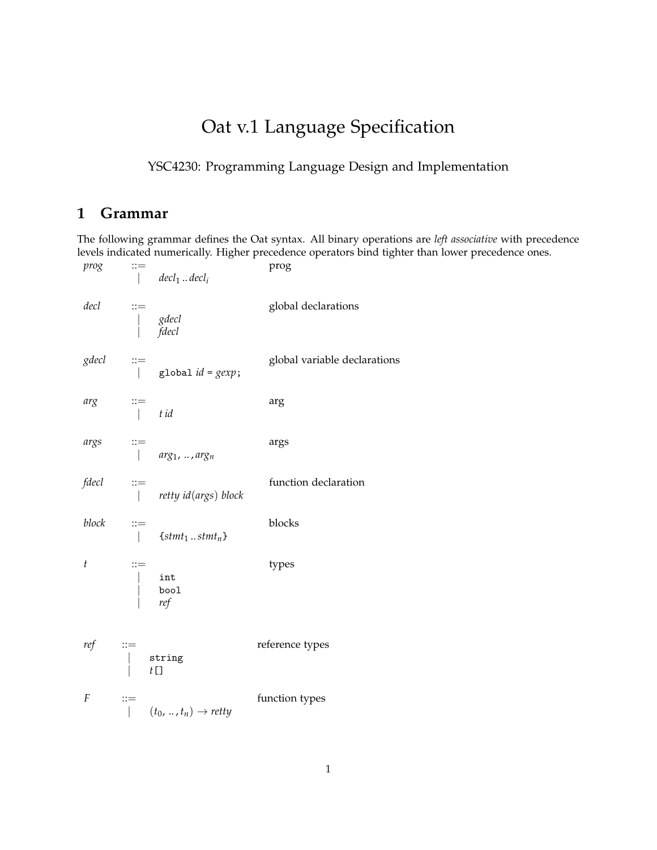## Oat v.1 Language Specification

## YSC4230: Programming Language Design and Implementation

## **1 Grammar**

The following grammar defines the Oat syntax. All binary operations are *left associative* with precedence levels indicated numerically. Higher precedence operators bind tighter than lower precedence ones.

prog ::= **prog** | *decl*<sup>1</sup> .. *decl<sup>i</sup> decl* ::= global declarations | *gdecl* | *fdecl gdecl* ::= <br> global *id* = *gexp*;<br> global *id* = *gexp*;  $g$ lobal  $id = g exp;$  $arg$  ::=  $arg$ | *t id args* ::= args | *arg*1, .. , *arg<sup>n</sup> fdecl* ::= function declaration | *retty id*(*args*) *block block* ::= blocks  $\{$  *stmt*<sub>1</sub> ..*stmt*<sub>*n*</sub> $\}$ *t* ::= types | int | bool | *ref ref* ::= reference types string  $t$ [] *F* ::= function types  $| (t_0, ..., t_n) \rightarrow retty$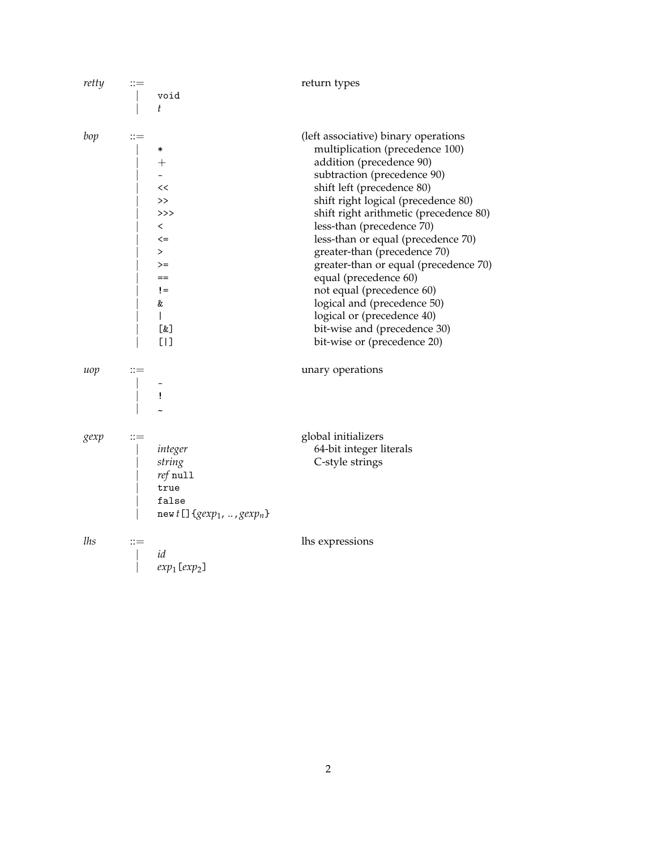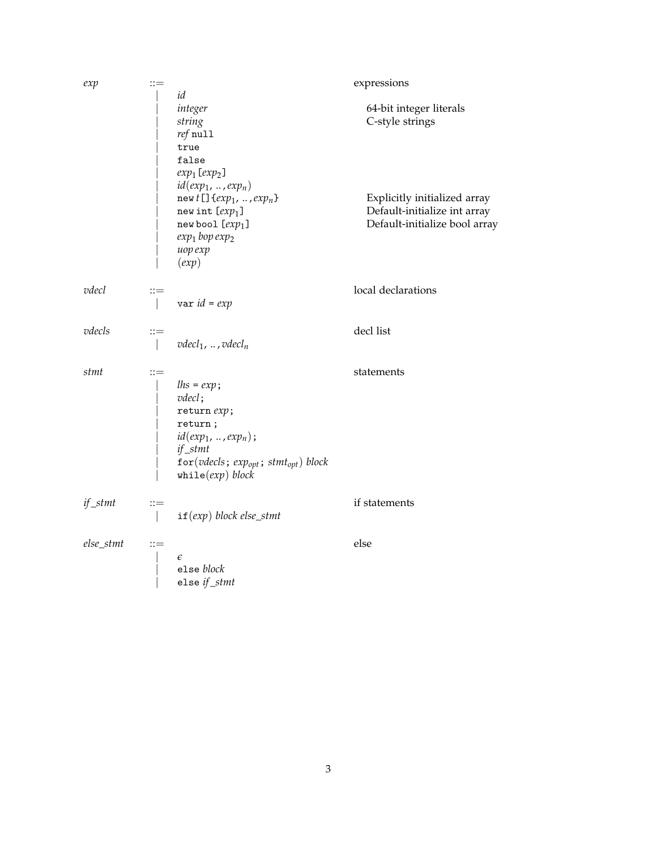| exp       | $::=$                   |                                                                                                                                                                           | expressions                                                                                   |
|-----------|-------------------------|---------------------------------------------------------------------------------------------------------------------------------------------------------------------------|-----------------------------------------------------------------------------------------------|
|           |                         | id<br>integer<br>string<br>$ref$ null<br>true                                                                                                                             | 64-bit integer literals<br>C-style strings                                                    |
|           |                         | false<br>$exp_1[exp_2]$<br>$id(exp_1, , exp_n)$<br>new $t$ [] $\{exp_1, , exp_n\}$<br>new int $[exp1]$<br>new bool $[exp1]$<br>$exp_1$ bop $exp_2$<br>uop exp<br>(exp)    | Explicitly initialized array<br>Default-initialize int array<br>Default-initialize bool array |
| vdecl     | $::=$                   | $var$ $id = exp$                                                                                                                                                          | local declarations                                                                            |
| vdecls    | $::=$                   | $vdecl_1$ , , $vdecl_n$                                                                                                                                                   | decl list                                                                                     |
| stmt      | $::=$                   | $lhs = exp;$<br>$v$ <i>decl</i> ;<br>return $exp$ ;<br>return;<br>$id(exp_1, , exp_n);$<br>if_stmt<br>for (vdecls; $exp_{opt}$ ; $stmt_{opt}$ ) block<br>while(exp) block | statements                                                                                    |
| if_stmt   | $::=$<br>$\overline{1}$ | $if(exp) block else\_stmt$                                                                                                                                                | if statements                                                                                 |
| else_stmt | $::=$                   | $\epsilon$<br>else block<br>else if_stmt                                                                                                                                  | else                                                                                          |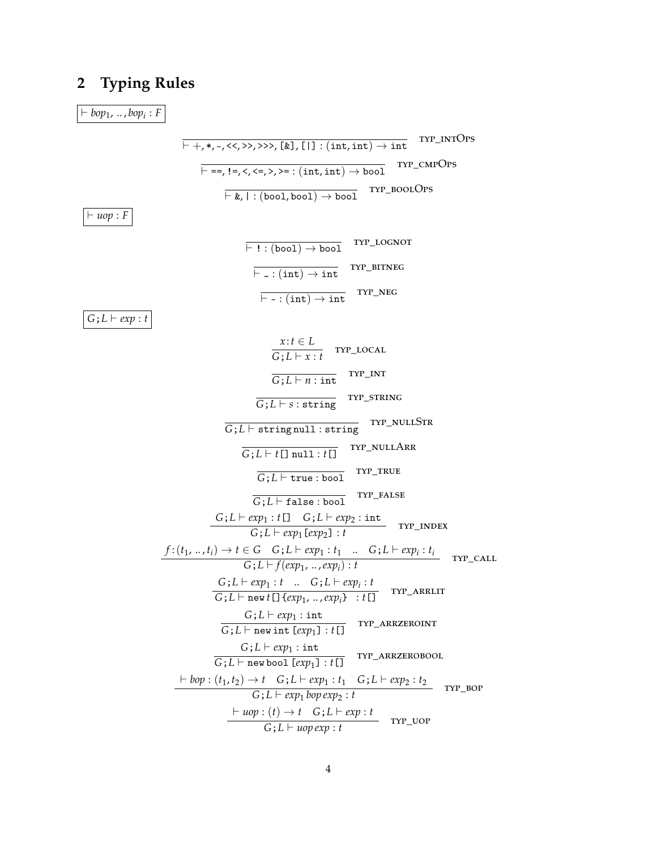## **Typing Rules**  $2<sup>1</sup>$

 $\vdash bop_1, \ldots, bop_i : F$ TYP\_INTOPS  $\overline{\vdash ==, !=, \langle \langle \leq, \rangle \rangle} = : (int, int) \rightarrow bool$  TYP\_CMPOPS  $\overline{\vdash\texttt{\&},\mid:(\texttt{bool},\texttt{bool})\rightarrow \texttt{bool}} \quad \texttt{TrP\_Bool} \quad$  $\vdash uop : F$  $\overline{\vdash \text{ ! } : (\text{bool}) \rightarrow \text{bool}}$  TYP\_LOGNOT  $\overline{\vdash_{\sim} : (\text{int}) \to \text{int}}$  TYP\_BITNEG TYP\_NEG  $\overline{\vdash$  - : (int)  $\rightarrow$  int  $G:L \vdash exp:t$  $\frac{x:t \in L}{G:L \vdash x:t}$  TYP\_LOCAL  $\overline{G; L \vdash n : int}$  TYP\_INT TYP\_STRING  $\overline{G:L\vdash s:$ string  $\overline{G;L \vdash \texttt{string null}: \texttt{string}}$  TYP\_NULLSTR TYP\_NULLARR  $\overline{G:L \vdash t[] \text{ null}:t[]}$ TYP\_TRUE  $\overline{G:L \vdash \mathtt{true} : \mathtt{bool}}$ TYP\_FALSE  $\overline{G\,;L\vdash \mathtt{false} : \mathtt{bool}}$  $\frac{G;L \vdash exp_1 : t[] G;L \vdash exp_2 : \text{int}}{G;L \vdash exp_1[exp_2] : t} \quad \text{hyp\_INDEX}$  $\frac{f:(t_1,\ldots,t_i)\to t\in G\quad G\,;L\vdash exp_1:t_1\quad \ldots\quad G\,;L\vdash exp_i:t_i}{G\,;L\vdash f(exp_1,\ldots,exp_i):t} \quad \text{Tr} \texttt{r\_CALL}$  $\frac{G;L \vdash exp_1 : t \quad . \quad G;L \vdash exp_i : t}{G;L \vdash new t[] \{exp_1, .., exp_i\} \quad t[]}$  TYP\_ARRLIT  $G: L \vdash exp_1 : int$  $\overline{G; L \vdash \text{new int } [exp_1] : t[]}$  TYP\_ARRZEROINT  $G: L \vdash exp_1 : int$  $\overline{G:L \vdash \texttt{new bool}[\textit{exp}_1]: t[]}$  TYP\_ARRZEROBOOL  $\frac{\vdash \textit{bop} : (t_1, t_2) \rightarrow t \quad G ; L \vdash \textit{exp}_1 : t_1 \quad G ; L \vdash \textit{exp}_2 : t_2}{G ; L \vdash \textit{exp}_1 \textit{bop} \textit{exp}_2 : t} \quad \text{hyp\_bop}$  $\frac{\vdash \textit{uop} : (t) \rightarrow t \quad G; L \vdash \textit{exp} : t}{G; L \vdash \textit{uop} \textit{exp} : t}$  TYP\_UOP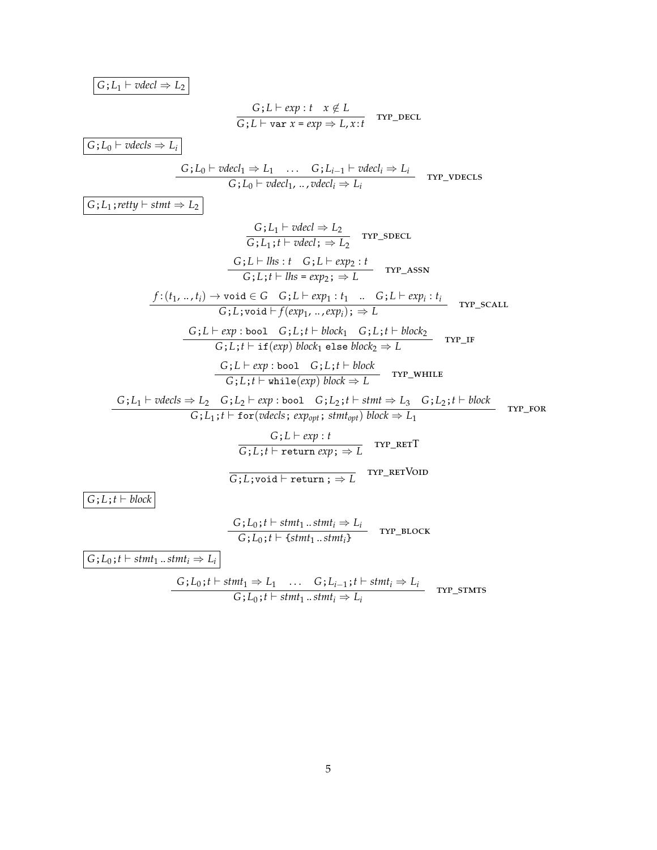$$
G\,;L_1\vdash \mathit{vdecl}\Rightarrow L_2
$$

$$
\frac{G \, ; L \vdash exp : t \quad x \notin L}{G \, ; L \vdash var \, x = exp \Rightarrow L, x : t} \quad \text{Trp\_DECL}
$$

 $\boxed{G; L_0 \vdash vdecls \Rightarrow L_i}$ 

$$
\frac{G \, ; L_0 \vdash vdecl_1 \Rightarrow L_1 \quad \dots \quad G \, ; L_{i-1} \vdash vdecl_i \Rightarrow L_i}{G \, ; L_0 \vdash vdecl_1, \, \dots, vdecl_i \Rightarrow L_i} \quad \text{hyp\_vDecls}
$$

 $G: L_1$ ; *retty*  $\vdash$  *stmt*  $\Rightarrow$   $L_2$ 

 $\overline{\phantom{0}}$ 

$$
\frac{G; L_1 \vdash \text{vdecl} \Rightarrow L_2}{G; L_1; t \vdash \text{vdecl}; \Rightarrow L_2} \text{ Trr\_sDECL}
$$
\n
$$
\frac{G; L \vdash \text{lls}: t \quad G; L \vdash \text{exp}_2: t}{G; L; t \vdash \text{lls} = \text{exp}_2; \Rightarrow L} \text{ Trr\_assN}
$$
\n
$$
\frac{f: (t_1, ..., t_i) \rightarrow \text{void} \in G \quad G; L \vdash \text{exp}_1: t_1 \quad ... \quad G; L \vdash \text{exp}_i: t_i}{G; L; \text{void} \vdash f(\text{exp}_1, ..., \text{exp}_i); \Rightarrow L} \text{ Trr\_scALL}
$$
\n
$$
\frac{G; L \vdash \text{exp} : \text{bool} \quad G; L; t \vdash \text{block}_1}{G; L; t \vdash \text{if}(\text{exp}) \text{ block}_1 \text{ else block}_2 \Rightarrow L} \text{ Trr\_IF}
$$
\n
$$
\frac{G; L \vdash \text{exp} : \text{bool} \quad G; L; t \vdash \text{block}_2}{G; L; t \vdash \text{while}(\text{exp}) \text{ block} \Rightarrow L} \text{ Trr\_whILE}
$$
\n
$$
\frac{G; L \vdash \text{exp} : \text{bool} \quad G; L_2; t \vdash \text{stm} \neq L_3 \quad G; L_2; t \vdash \text{block}_3}{G; L; t \vdash \text{for}(\text{vdecls}; \text{exp}_{\text{opt}}; \text{stm}_{\text{opt}}) \text{ block} \Rightarrow L_1} \text{ Trr\_KET}
$$
\n
$$
\frac{G; L \vdash \text{exp} : t}{G; L; \text{void} \vdash \text{return } \text{exp}; \Rightarrow L} \text{ Trr\_KET}
$$
\n
$$
\frac{G; L_3; t \vdash \text{Stm1}_1 \ldots \text{stm1}_i \Rightarrow L_i}{G; L_0; t \vdash \text{fstm1}_1 \ldots \text{stm1}_i} \text{ Trr\_BLOCK}
$$

 $G$ ;  $L_0$ ;  $t \vdash \text{stmt}_1 \dots \text{stmt}_i \Rightarrow L_i$ 

$$
\frac{G;L_0;t \vdash \mathit{stmt}_1 \Rightarrow L_1 \quad \dots \quad G;L_{i-1};t \vdash \mathit{stmt}_i \Rightarrow L_i}{G;L_0;t \vdash \mathit{stmt}_1 \dots \mathit{stmt}_i \Rightarrow L_i} \quad \text{hyp\_s7MTS}
$$